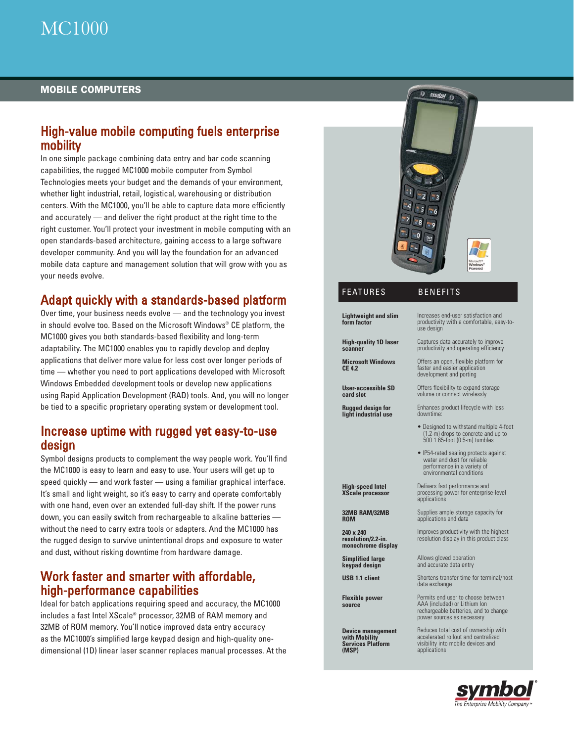### MOBILE COMPUTERS

## High-value mobile computing fuels enterprise mobility

In one simple package combining data entry and bar code scanning capabilities, the rugged MC1000 mobile computer from Symbol Technologies meets your budget and the demands of your environment, whether light industrial, retail, logistical, warehousing or distribution centers. With the MC1000, you'll be able to capture data more efficiently and accurately — and deliver the right product at the right time to the right customer. You'll protect your investment in mobile computing with an open standards-based architecture, gaining access to a large software developer community. And you will lay the foundation for an advanced mobile data capture and management solution that will grow with you as your needs evolve.

# Adapt quickly with a standards-based platform

Over time, your business needs evolve — and the technology you invest in should evolve too. Based on the Microsoft Windows® CE platform, the MC1000 gives you both standards-based flexibility and long-term adaptability. The MC1000 enables you to rapidly develop and deploy applications that deliver more value for less cost over longer periods of time — whether you need to port applications developed with Microsoft Windows Embedded development tools or develop new applications using Rapid Application Development (RAD) tools. And, you will no longer be tied to a specific proprietary operating system or development tool.

### Increase uptime with rugged yet easy-to-use design

Symbol designs products to complement the way people work. You'll find the MC1000 is easy to learn and easy to use. Your users will get up to speed quickly — and work faster — using a familiar graphical interface. It's small and light weight, so it's easy to carry and operate comfortably with one hand, even over an extended full-day shift. If the power runs down, you can easily switch from rechargeable to alkaline batteries without the need to carry extra tools or adapters. And the MC1000 has the rugged design to survive unintentional drops and exposure to water and dust, without risking downtime from hardware damage.

## Work faster and smarter with affordable, high-performance capabilities

Ideal for batch applications requiring speed and accuracy, the MC1000 includes a fast Intel XScale® processor, 32MB of RAM memory and 32MB of ROM memory. You'll notice improved data entry accuracy as the MC1000's simplified large keypad design and high-quality onedimensional (1D) linear laser scanner replaces manual processes. At the



### FEATURES BENEFITS

#### **Lightweight and slim form factor**

Increases end-user satisfaction and

**High-quality 1D laser scanner**

**Microsoft Windows CE 4.2** 

**User-accessible SD card slot**

**Rugged design for light industrial use**

**High-speed Intel XScale processor**

**32MB RAM/32MB ROM 240 x 240 resolution/2.2-in. monochrome display Simplified large keypad design USB 1.1 client**

**Flexible power source**

**Device management with Mobility Services Platform (MSP)**

productivity with a comfortable, easy-touse design Captures data accurately to improve

productivity and operating efficiency

Offers an open, flexible platform for faster and easier application development and porting

Offers flexibility to expand storage volume or connect wirelessly

Enhances product lifecycle with less downtime:

- Designed to withstand multiple 4-foot (1.2-m) drops to concrete and up to 500 1.65-foot (0.5-m) tumbles
- IP54-rated sealing protects against water and dust for reliable performance in a variety of environmental conditions

Delivers fast performance and processing power for enterprise-level **applications** 

Supplies ample storage capacity for applications and data

Improves productivity with the highest resolution display in this product class

Allows gloved operation and accurate data entry

Shortens transfer time for terminal/host data exchange

Permits end user to choose between AAA (included) or Lithium Ion rechargeable batteries, and to change power sources as necessary

Reduces total cost of ownership with accelerated rollout and centralized visibility into mobile devices and applications